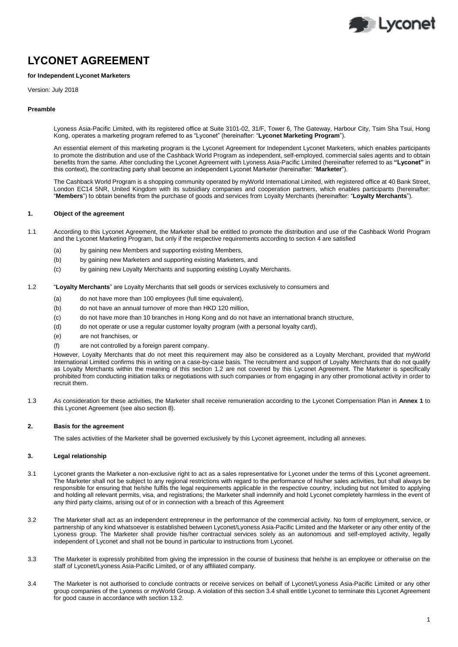

# **LYCONET AGREEMENT**

## **for Independent Lyconet Marketers**

Version: July 2018

## **Preamble**

Lyoness Asia-Pacific Limited, with its registered office at Suite 3101-02, 31/F, Tower 6, The Gateway, Harbour City, Tsim Sha Tsui, Hong Kong, operates a marketing program referred to as "Lyconet" (hereinafter: "**Lyconet Marketing Program**").

An essential element of this marketing program is the Lyconet Agreement for Independent Lyconet Marketers, which enables participants to promote the distribution and use of the Cashback World Program as independent, self-employed, commercial sales agents and to obtain benefits from the same. After concluding the Lyconet Agreement with Lyoness Asia-Pacific Limited (hereinafter referred to as **"Lyconet"** in this context), the contracting party shall become an independent Lyconet Marketer (hereinafter: "**Marketer**").

The Cashback World Program is a shopping community operated by myWorld International Limited, with registered office at 40 Bank Street, London EC14 5NR, United Kingdom with its subsidiary companies and cooperation partners, which enables participants (hereinafter: "**Members**") to obtain benefits from the purchase of goods and services from Loyalty Merchants (hereinafter: "**Loyalty Merchants**").

# **1. Object of the agreement**

- 1.1 According to this Lyconet Agreement, the Marketer shall be entitled to promote the distribution and use of the Cashback World Program and the Lyconet Marketing Program, but only if the respective requirements according to sectio[n 4](#page-1-0) are satisfied
	- (a) by gaining new Members and supporting existing Members,
	- (b) by gaining new Marketers and supporting existing Marketers, and
	- (c) by gaining new Loyalty Merchants and supporting existing Loyalty Merchants.
- <span id="page-0-0"></span>1.2 "**Loyalty Merchants**" are Loyalty Merchants that sell goods or services exclusively to consumers and
	- (a) do not have more than 100 employees (full time equivalent),
	- (b) do not have an annual turnover of more than HKD 120 million,
	- (c) do not have more than 10 branches in Hong Kong and do not have an international branch structure,
	- (d) do not operate or use a regular customer loyalty program (with a personal loyalty card),
	- (e) are not franchises, or
	- (f) are not controlled by a foreign parent company.

However, Loyalty Merchants that do not meet this requirement may also be considered as a Loyalty Merchant, provided that myWorld International Limited confirms this in writing on a case-by-case basis. The recruitment and support of Loyalty Merchants that do not qualify as Loyalty Merchants within the meaning of this section [1.2](#page-0-0) are not covered by this Lyconet Agreement. The Marketer is specifically prohibited from conducting initiation talks or negotiations with such companies or from engaging in any other promotional activity in order to recruit them.

1.3 As consideration for these activities, the Marketer shall receive remuneration according to the Lyconet Compensation Plan in **Annex 1** to this Lyconet Agreement (see also section 8).

## **2. Basis for the agreement**

The sales activities of the Marketer shall be governed exclusively by this Lyconet agreement, including all annexes.

#### **3. Legal relationship**

- 3.1 Lyconet grants the Marketer a non-exclusive right to act as a sales representative for Lyconet under the terms of this Lyconet agreement. The Marketer shall not be subject to any regional restrictions with regard to the performance of his/her sales activities, but shall always be responsible for ensuring that he/she fulfils the legal requirements applicable in the respective country, including but not limited to applying and holding all relevant permits, visa, and registrations; the Marketer shall indemnify and hold Lyconet completely harmless in the event of any third party claims, arising out of or in connection with a breach of this Agreement
- 3.2 The Marketer shall act as an independent entrepreneur in the performance of the commercial activity. No form of employment, service, or partnership of any kind whatsoever is established between Lyconet/Lyoness Asia-Pacific Limited and the Marketer or any other entity of the Lyoness group. The Marketer shall provide his/her contractual services solely as an autonomous and self-employed activity, legally independent of Lyconet and shall not be bound in particular to instructions from Lyconet.
- 3.3 The Marketer is expressly prohibited from giving the impression in the course of business that he/she is an employee or otherwise on the staff of Lyconet/Lyoness Asia-Pacific Limited, or of any affiliated company.
- <span id="page-0-1"></span>3.4 The Marketer is not authorised to conclude contracts or receive services on behalf of Lyconet/Lyoness Asia-Pacific Limited or any other group companies of the Lyoness or myWorld Group. A violation of this sectio[n 3.4](#page-0-1) shall entitle Lyconet to terminate this Lyconet Agreement for good cause in accordance with section 13.2.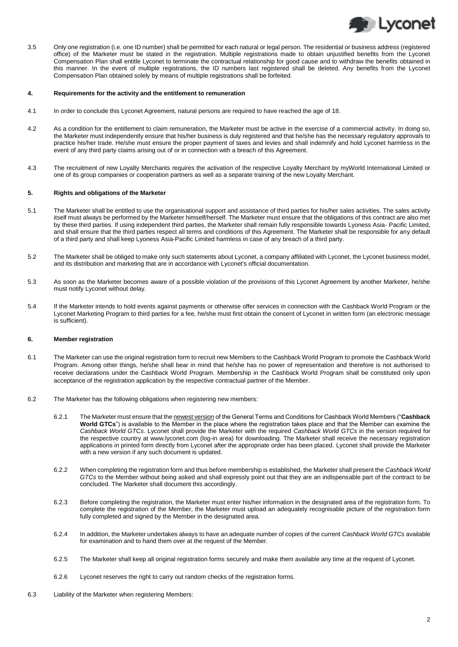<span id="page-1-0"></span>

3.5 Only one registration (i.e. one ID number) shall be permitted for each natural or legal person. The residential or business address (registered office) of the Marketer must be stated in the registration. Multiple registrations made to obtain unjustified benefits from the Lyconet Compensation Plan shall entitle Lyconet to terminate the contractual relationship for good cause and to withdraw the benefits obtained in this manner. In the event of multiple registrations, the ID numbers last registered shall be deleted. Any benefits from the Lyconet Compensation Plan obtained solely by means of multiple registrations shall be forfeited.

#### **4. Requirements for the activity and the entitlement to remuneration**

- 4.1 In order to conclude this Lyconet Agreement, natural persons are required to have reached the age of 18.
- 4.2 As a condition for the entitlement to claim remuneration, the Marketer must be active in the exercise of a commercial activity. In doing so, the Marketer must independently ensure that his/her business is duly registered and that he/she has the necessary regulatory approvals to practice his/her trade. He/she must ensure the proper payment of taxes and levies and shall indemnify and hold Lyconet harmless in the event of any third party claims arising out of or in connection with a breach of this Agreement.
- 4.3 The recruitment of new Loyalty Merchants requires the activation of the respective Loyalty Merchant by myWorld International Limited or one of its group companies or cooperation partners as well as a separate training of the new Loyalty Merchant.

#### **5. Rights and obligations of the Marketer**

- 5.1 The Marketer shall be entitled to use the organisational support and assistance of third parties for his/her sales activities. The sales activity itself must always be performed by the Marketer himself/herself. The Marketer must ensure that the obligations of this contract are also met by these third parties. If using independent third parties, the Marketer shall remain fully responsible towards Lyoness Asia- Pacific Limited, and shall ensure that the third parties respect all terms and conditions of this Agreement. The Marketer shall be responsible for any default of a third party and shall keep Lyoness Asia-Pacific Limited harmless in case of any breach of a third party.
- 5.2 The Marketer shall be obliged to make only such statements about Lyconet, a company affiliated with Lyconet, the Lyconet business model, and its distribution and marketing that are in accordance with Lyconet's official documentation.
- 5.3 As soon as the Marketer becomes aware of a possible violation of the provisions of this Lyconet Agreement by another Marketer, he/she must notify Lyconet without delay.
- 5.4 If the Marketer intends to hold events against payments or otherwise offer services in connection with the Cashback World Program or the Lyconet Marketing Program to third parties for a fee, he/she must first obtain the consent of Lyconet in written form (an electronic message is sufficient).

#### **6. Member registration**

- 6.1 The Marketer can use the original registration form to recruit new Members to the Cashback World Program to promote the Cashback World Program. Among other things, he/she shall bear in mind that he/she has no power of representation and therefore is not authorised to receive declarations under the Cashback World Program. Membership in the Cashback World Program shall be constituted only upon acceptance of the registration application by the respective contractual partner of the Member.
- 6.2 The Marketer has the following obligations when registering new members:
	- 6.2.1 The Marketer must ensure that the newest version of the General Terms and Conditions for Cashback World Members ("**Cashback World GTCs**") is available to the Member in the place where the registration takes place and that the Member can examine the *Cashback World GTCs*. Lyconet shall provide the Marketer with the required *Cashback World GTCs* in the version required for the respective country at www.lyconet.com (log-in area) for downloading. The Marketer shall receive the necessary registration applications in printed form directly from Lyconet after the appropriate order has been placed. Lyconet shall provide the Marketer with a new version if any such document is updated.
	- 6.2.2 When completing the registration form and thus before membership is established, the Marketer shall present the *Cashback World GTCs* to the Member without being asked and shall expressly point out that they are an indispensable part of the contract to be concluded. The Marketer shall document this accordingly.
	- 6.2.3 Before completing the registration, the Marketer must enter his/her information in the designated area of the registration form. To complete the registration of the Member, the Marketer must upload an adequately recognisable picture of the registration form fully completed and signed by the Member in the designated area.
	- 6.2.4 In addition, the Marketer undertakes always to have an adequate number of copies of the current *Cashback World GTCs* available for examination and to hand them over at the request of the Member.
	- 6.2.5 The Marketer shall keep all original registration forms securely and make them available any time at the request of Lyconet.
	- 6.2.6 Lyconet reserves the right to carry out random checks of the registration forms.
- 6.3 Liability of the Marketer when registering Members: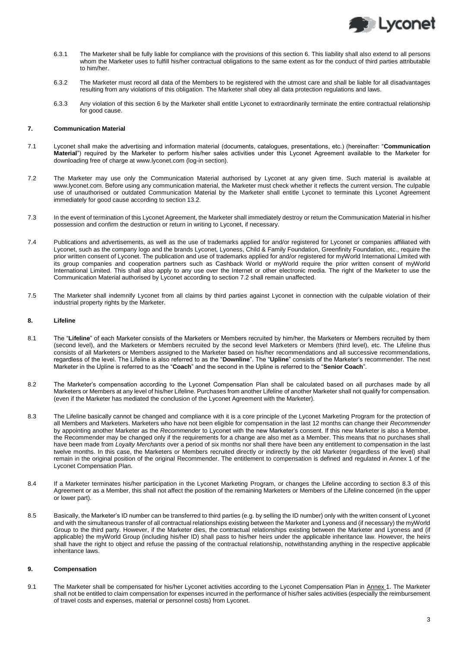

- 6.3.1 The Marketer shall be fully liable for compliance with the provisions of this section 6. This liability shall also extend to all persons whom the Marketer uses to fulfill his/her contractual obligations to the same extent as for the conduct of third parties attributable to him/her.
- 6.3.2 The Marketer must record all data of the Members to be registered with the utmost care and shall be liable for all disadvantages resulting from any violations of this obligation. The Marketer shall obey all data protection regulations and laws.
- 6.3.3 Any violation of this section 6 by the Marketer shall entitle Lyconet to extraordinarily terminate the entire contractual relationship for good cause.

#### **7. Communication Material**

- 7.1 Lyconet shall make the advertising and information material (documents, catalogues, presentations, etc.) (hereinafter: "**Communication Material**") required by the Marketer to perform his/her sales activities under this Lyconet Agreement available to the Marketer for downloading free of charge a[t www.lyconet.com](http://www.lyconet.com/) (log-in section).
- <span id="page-2-0"></span>7.2 The Marketer may use only the Communication Material authorised by Lyconet at any given time. Such material is available at [www.lyconet.com.](http://www.lyconet.com/) Before using any communication material, the Marketer must check whether it reflects the current version. The culpable use of unauthorised or outdated Communication Material by the Marketer shall entitle Lyconet to terminate this Lyconet Agreement immediately for good cause according to section 13.2.
- 7.3 In the event of termination of this Lyconet Agreement, the Marketer shall immediately destroy or return the Communication Material in his/her possession and confirm the destruction or return in writing to Lyconet, if necessary.
- <span id="page-2-1"></span>7.4 Publications and advertisements, as well as the use of trademarks applied for and/or registered for Lyconet or companies affiliated with Lyconet, such as the company logo and the brands Lyconet, Lyoness, Child & Family Foundation, Greenfinity Foundation, etc., require the prior written consent of Lyconet. The publication and use of trademarks applied for and/or registered for myWorld International Limited with its group companies and cooperation partners such as Cashback World or myWorld require the prior written consent of myWorld International Limited. This shall also apply to any use over the Internet or other electronic media. The right of the Marketer to use the Communication Material authorised by Lyconet according to sectio[n 7.2](#page-2-0) shall remain unaffected.
- 7.5 The Marketer shall indemnify Lyconet from all claims by third parties against Lyconet in connection with the culpable violation of their industrial property rights by the Marketer.

#### **8. Lifeline**

- 8.1 The "**Lifeline**" of each Marketer consists of the Marketers or Members recruited by him/her, the Marketers or Members recruited by them (second level), and the Marketers or Members recruited by the second level Marketers or Members (third level), etc. The Lifeline thus consists of all Marketers or Members assigned to the Marketer based on his/her recommendations and all successive recommendations, regardless of the level. The Lifeline is also referred to as the "**Downline**". The "**Upline**" consists of the Marketer's recommender. The next Marketer in the Upline is referred to as the "**Coach**" and the second in the Upline is referred to the "**Senior Coach**".
- 8.2 The Marketer's compensation according to the Lyconet Compensation Plan shall be calculated based on all purchases made by all Marketers or Members at any level of his/her Lifeline. Purchases from another Lifeline of another Marketer shall not qualify for compensation. (even if the Marketer has mediated the conclusion of the Lyconet Agreement with the Marketer).
- 8.3 The Lifeline basically cannot be changed and compliance with it is a core principle of the Lyconet Marketing Program for the protection of all Members and Marketers. Marketers who have not been eligible for compensation in the last 12 months can change their *Recommender* by appointing another Marketer as the *Recommender* to Lyconet with the new Marketer's consent. If this new Marketer is also a Member, the Recommender may be changed only if the requirements for a change are also met as a Member. This means that no purchases shall have been made from *Loyalty Merchants* over a period of six months nor shall there have been any entitlement to compensation in the last twelve months. In this case, the Marketers or Members recruited directly or indirectly by the old Marketer (regardless of the level) shall remain in the original position of the original Recommender. The entitlement to compensation is defined and regulated in Annex 1 of the Lyconet Compensation Plan.
- 8.4 If a Marketer terminates his/her participation in the Lyconet Marketing Program, or changes the Lifeline according to section 8.3 of this Agreement or as a Member, this shall not affect the position of the remaining Marketers or Members of the Lifeline concerned (in the upper or lower part).
- 8.5 Basically, the Marketer's ID number can be transferred to third parties (e.g. by selling the ID number) only with the written consent of Lyconet and with the simultaneous transfer of all contractual relationships existing between the Marketer and Lyoness and (if necessary) the myWorld Group to the third party. However, if the Marketer dies, the contractual relationships existing between the Marketer and Lyoness and (if applicable) the myWorld Group (including his/her ID) shall pass to his/her heirs under the applicable inheritance law. However, the heirs shall have the right to object and refuse the passing of the contractual relationship, notwithstanding anything in the respective applicable inheritance laws.

## **9. Compensation**

9.1 The Marketer shall be compensated for his/her Lyconet activities according to the Lyconet Compensation Plan in Annex 1. The Marketer shall not be entitled to claim compensation for expenses incurred in the performance of his/her sales activities (especially the reimbursement of travel costs and expenses, material or personnel costs) from Lyconet.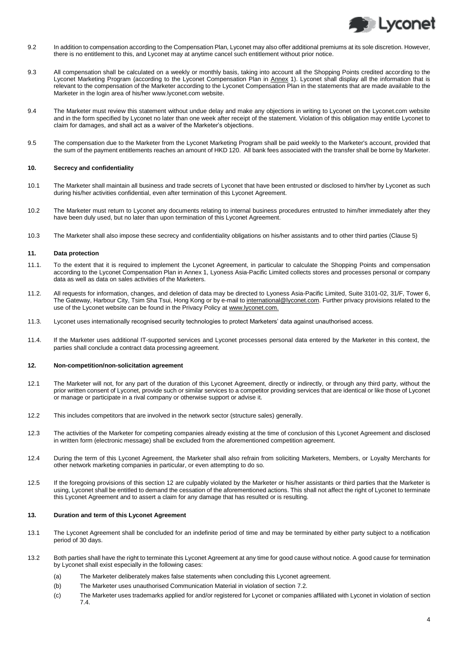

- 9.2 In addition to compensation according to the Compensation Plan, Lyconet may also offer additional premiums at its sole discretion. However, there is no entitlement to this, and Lyconet may at anytime cancel such entitlement without prior notice.
- 9.3 All compensation shall be calculated on a weekly or monthly basis, taking into account all the Shopping Points credited according to the Lyconet Marketing Program (according to the Lyconet Compensation Plan in Annex 1). Lyconet shall display all the information that is relevant to the compensation of the Marketer according to the Lyconet Compensation Plan in the statements that are made available to the Marketer in the login area of his/her www.lyconet.com website.
- 9.4 The Marketer must review this statement without undue delay and make any objections in writing to Lyconet on the Lyconet.com website and in the form specified by Lyconet no later than one week after receipt of the statement. Violation of this obligation may entitle Lyconet to claim for damages, and shall act as a waiver of the Marketer's objections.
- 9.5 The compensation due to the Marketer from the Lyconet Marketing Program shall be paid weekly to the Marketer's account, provided that the sum of the payment entitlements reaches an amount of HKD 120. All bank fees associated with the transfer shall be borne by Marketer.

## **10. Secrecy and confidentiality**

- 10.1 The Marketer shall maintain all business and trade secrets of Lyconet that have been entrusted or disclosed to him/her by Lyconet as such during his/her activities confidential, even after termination of this Lyconet Agreement.
- 10.2 The Marketer must return to Lyconet any documents relating to internal business procedures entrusted to him/her immediately after they have been duly used, but no later than upon termination of this Lyconet Agreement.
- 10.3 The Marketer shall also impose these secrecy and confidentiality obligations on his/her assistants and to other third parties (Clause 5)

## **11. Data protection**

- 11.1. To the extent that it is required to implement the Lyconet Agreement, in particular to calculate the Shopping Points and compensation according to the Lyconet Compensation Plan in Annex 1, Lyoness Asia-Pacific Limited collects stores and processes personal or company data as well as data on sales activities of the Marketers.
- 11.2. All requests for information, changes, and deletion of data may be directed to Lyoness Asia-Pacific Limited, Suite 3101-02, 31/F, Tower 6, The Gateway, Harbour City, Tsim Sha Tsui, Hong Kong or by e-mail to international@lyconet.com. Further privacy provisions related to the use of the Lyconet website can be found in the Privacy Policy at www.lyconet.com.
- 11.3. Lyconet uses internationally recognised security technologies to protect Marketers' data against unauthorised access.
- 11.4. If the Marketer uses additional IT-supported services and Lyconet processes personal data entered by the Marketer in this context, the parties shall conclude a contract data processing agreement.

## <span id="page-3-0"></span>**12. Non-competition/non-solicitation agreement**

- 12.1 The Marketer will not, for any part of the duration of this Lyconet Agreement, directly or indirectly, or through any third party, without the prior written consent of Lyconet, provide such or similar services to a competitor providing services that are identical or like those of Lyconet or manage or participate in a rival company or otherwise support or advise it.
- 12.2 This includes competitors that are involved in the network sector (structure sales) generally.
- 12.3 The activities of the Marketer for competing companies already existing at the time of conclusion of this Lyconet Agreement and disclosed in written form (electronic message) shall be excluded from the aforementioned competition agreement.
- 12.4 During the term of this Lyconet Agreement, the Marketer shall also refrain from soliciting Marketers, Members, or Loyalty Merchants for other network marketing companies in particular, or even attempting to do so.
- 12.5 If the foregoing provisions of this sectio[n 12](#page-3-0) are culpably violated by the Marketer or his/her assistants or third parties that the Marketer is using, Lyconet shall be entitled to demand the cessation of the aforementioned actions. This shall not affect the right of Lyconet to terminate this Lyconet Agreement and to assert a claim for any damage that has resulted or is resulting.

#### **13. Duration and term of this Lyconet Agreement**

- 13.1 The Lyconet Agreement shall be concluded for an indefinite period of time and may be terminated by either party subject to a notification period of 30 days.
- 13.2 Both parties shall have the right to terminate this Lyconet Agreement at any time for good cause without notice. A good cause for termination by Lyconet shall exist especially in the following cases:
	- (a) The Marketer deliberately makes false statements when concluding this Lyconet agreement.
	- (b) The Marketer uses unauthorised Communication Material in violation of sectio[n 7.2.](#page-2-0)
	- (c) The Marketer uses trademarks applied for and/or registered for Lyconet or companies affiliated with Lyconet in violation of section [7.4.](#page-2-1)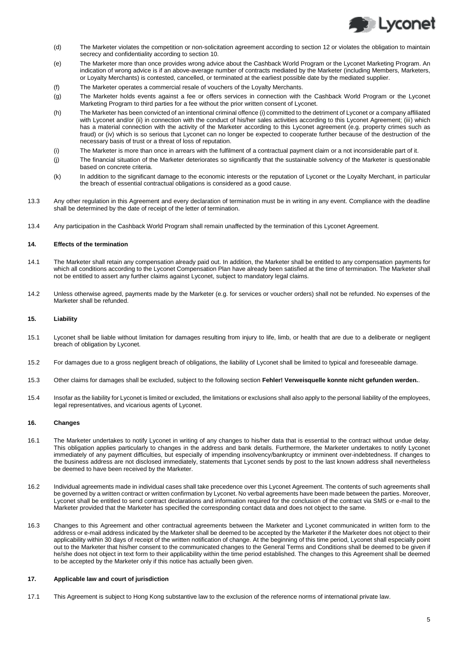

- (d) The Marketer violates the competition or non-solicitation agreement according to section 12 or violates the obligation to maintain secrecy and confidentiality according to section 10.
- (e) The Marketer more than once provides wrong advice about the Cashback World Program or the Lyconet Marketing Program. An indication of wrong advice is if an above-average number of contracts mediated by the Marketer (including Members, Marketers, or Loyalty Merchants) is contested, cancelled, or terminated at the earliest possible date by the mediated supplier.
- (f) The Marketer operates a commercial resale of vouchers of the Loyalty Merchants.
- (g) The Marketer holds events against a fee or offers services in connection with the Cashback World Program or the Lyconet Marketing Program to third parties for a fee without the prior written consent of Lyconet.
- (h) The Marketer has been convicted of an intentional criminal offence (i) committed to the detriment of Lyconet or a company affiliated with Lyconet and/or (ii) in connection with the conduct of his/her sales activities according to this Lyconet Agreement; (iii) which has a material connection with the activity of the Marketer according to this Lyconet agreement (e.g. property crimes such as fraud) or (iv) which is so serious that Lyconet can no longer be expected to cooperate further because of the destruction of the necessary basis of trust or a threat of loss of reputation.
- (i) The Marketer is more than once in arrears with the fulfilment of a contractual payment claim or a not inconsiderable part of it.
- (j) The financial situation of the Marketer deteriorates so significantly that the sustainable solvency of the Marketer is questionable based on concrete criteria.
- (k) In addition to the significant damage to the economic interests or the reputation of Lyconet or the Loyalty Merchant, in particular the breach of essential contractual obligations is considered as a good cause.
- 13.3 Any other regulation in this Agreement and every declaration of termination must be in writing in any event. Compliance with the deadline shall be determined by the date of receipt of the letter of termination.
- 13.4 Any participation in the Cashback World Program shall remain unaffected by the termination of this Lyconet Agreement.

# **14. Effects of the termination**

- 14.1 The Marketer shall retain any compensation already paid out. In addition, the Marketer shall be entitled to any compensation payments for which all conditions according to the Lyconet Compensation Plan have already been satisfied at the time of termination. The Marketer shall not be entitled to assert any further claims against Lyconet, subject to mandatory legal claims.
- 14.2 Unless otherwise agreed, payments made by the Marketer (e.g. for services or voucher orders) shall not be refunded. No expenses of the Marketer shall be refunded.

# **15. Liability**

- 15.1 Lyconet shall be liable without limitation for damages resulting from injury to life, limb, or health that are due to a deliberate or negligent breach of obligation by Lyconet.
- 15.2 For damages due to a gross negligent breach of obligations, the liability of Lyconet shall be limited to typical and foreseeable damage.
- 15.3 Other claims for damages shall be excluded, subject to the following section **Fehler! Verweisquelle konnte nicht gefunden werden.**.
- 15.4 Insofar as the liability for Lyconet is limited or excluded, the limitations or exclusions shall also apply to the personal liability of the employees, legal representatives, and vicarious agents of Lyconet.

## **16. Changes**

- 16.1 The Marketer undertakes to notify Lyconet in writing of any changes to his/her data that is essential to the contract without undue delay. This obligation applies particularly to changes in the address and bank details. Furthermore, the Marketer undertakes to notify Lyconet immediately of any payment difficulties, but especially of impending insolvency/bankruptcy or imminent over-indebtedness. If changes to the business address are not disclosed immediately, statements that Lyconet sends by post to the last known address shall nevertheless be deemed to have been received by the Marketer.
- 16.2 Individual agreements made in individual cases shall take precedence over this Lyconet Agreement. The contents of such agreements shall be governed by a written contract or written confirmation by Lyconet. No verbal agreements have been made between the parties. Moreover, Lyconet shall be entitled to send contract declarations and information required for the conclusion of the contract via SMS or e-mail to the Marketer provided that the Marketer has specified the corresponding contact data and does not object to the same.
- 16.3 Changes to this Agreement and other contractual agreements between the Marketer and Lyconet communicated in written form to the address or e-mail address indicated by the Marketer shall be deemed to be accepted by the Marketer if the Marketer does not object to their applicability within 30 days of receipt of the written notification of change. At the beginning of this time period, Lyconet shall especially point out to the Marketer that his/her consent to the communicated changes to the General Terms and Conditions shall be deemed to be given if he/she does not object in text form to their applicability within the time period established. The changes to this Agreement shall be deemed to be accepted by the Marketer only if this notice has actually been given.

## **17. Applicable law and court of jurisdiction**

17.1 This Agreement is subject to Hong Kong substantive law to the exclusion of the reference norms of international private law.